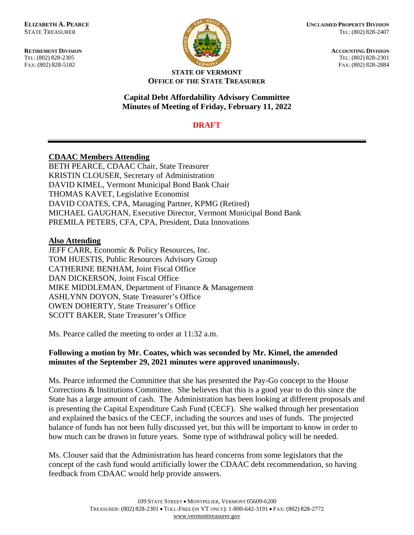

**ELIZABETH A. PEARCE CONSIDERED PROPERTY DIVISION** STATE TREASURER TEL: (802) 828-2407

**RETIREMENT DIVISION**<br> **ACCOUNTING DIVISION**<br> **ACCOUNTING DIVISION**<br> **ACCOUNTING DIVISION** TEL: (802) 828-2305 TEL: (802) 828-2301 FAX: (802) 828-5182 FAX: (802) 828-2884

#### **STATE OF VERMONT OFFICE OF THE STATE TREASURER**

#### **Capital Debt Affordability Advisory Committee Minutes of Meeting of Friday, February 11, 2022**

## **DRAFT**

# **CDAAC Members Attending**

BETH PEARCE, CDAAC Chair, State Treasurer KRISTIN CLOUSER, Secretary of Administration DAVID KIMEL, Vermont Municipal Bond Bank Chair THOMAS KAVET, Legislative Economist DAVID COATES, CPA, Managing Partner, KPMG (Retired) MICHAEL GAUGHAN, Executive Director, Vermont Municipal Bond Bank PREMILA PETERS, CFA, CPA, President, Data Innovations

### **Also Attending**

JEFF CARR, Economic & Policy Resources, Inc. TOM HUESTIS, Public Resources Advisory Group CATHERINE BENHAM, Joint Fiscal Office DAN DICKERSON, Joint Fiscal Office MIKE MIDDLEMAN, Department of Finance & Management ASHLYNN DOYON, State Treasurer's Office OWEN DOHERTY, State Treasurer's Office SCOTT BAKER, State Treasurer's Office

Ms. Pearce called the meeting to order at 11:32 a.m.

## **Following a motion by Mr. Coates, which was seconded by Mr. Kimel, the amended minutes of the September 29, 2021 minutes were approved unanimously.**

Ms. Pearce informed the Committee that she has presented the Pay-Go concept to the House Corrections & Institutions Committee. She believes that this is a good year to do this since the State has a large amount of cash. The Administration has been looking at different proposals and is presenting the Capital Expenditure Cash Fund (CECF). She walked through her presentation and explained the basics of the CECF, including the sources and uses of funds. The projected balance of funds has not been fully discussed yet, but this will be important to know in order to how much can be drawn in future years. Some type of withdrawal policy will be needed.

Ms. Clouser said that the Administration has heard concerns from some legislators that the concept of the cash fund would artificially lower the CDAAC debt recommendation, so having feedback from CDAAC would help provide answers.